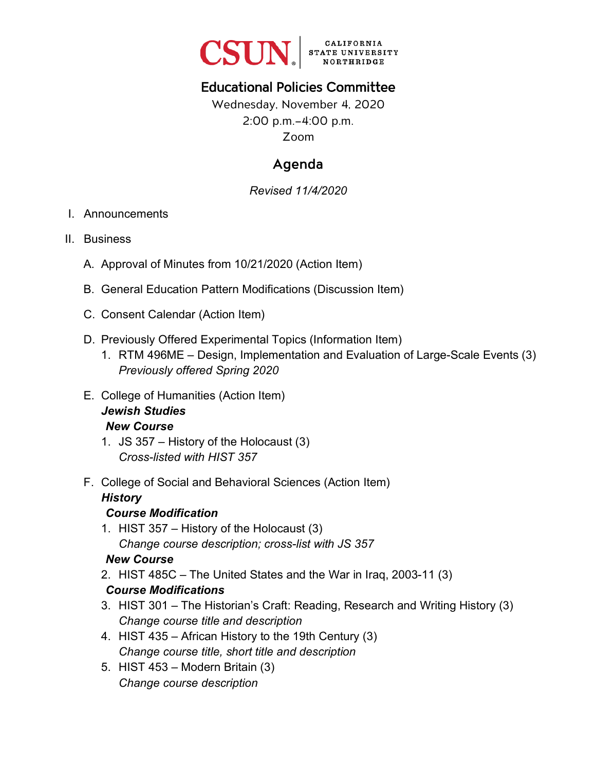

# Educational Policies Committee

Wednesday, November 4, 2020 2:00 p.m.–4:00 p.m. Zoom

# Agenda

*Revised 11/4/2020* 

#### I. Announcements

- II. Business
	- A. Approval of Minutes from 10/21/2020 (Action Item)
	- B. General Education Pattern Modifications (Discussion Item)
	- C. Consent Calendar (Action Item)
	- D. Previously Offered Experimental Topics (Information Item)
		- 1. RTM 496ME Design, Implementation and Evaluation of Large-Scale Events (3) *Previously offered Spring 2020*
	- E. College of Humanities (Action Item) *Jewish Studies New Course*
		- 1. JS 357 History of the Holocaust (3) *Cross-listed with HIST 357*
	- F. College of Social and Behavioral Sciences (Action Item)

#### *History*

#### *Course Modification*

1. HIST 357 – History of the Holocaust (3) *Change course description; cross-list with JS 357*

### *New Course*

2. HIST 485C – The United States and the War in Iraq, 2003-11 (3)

### *Course Modifications*

- 3. HIST 301 The Historian's Craft: Reading, Research and Writing History (3) *Change course title and description*
- 4. HIST 435 African History to the 19th Century (3) *Change course title, short title and description*
- 5. HIST 453 Modern Britain (3) *Change course description*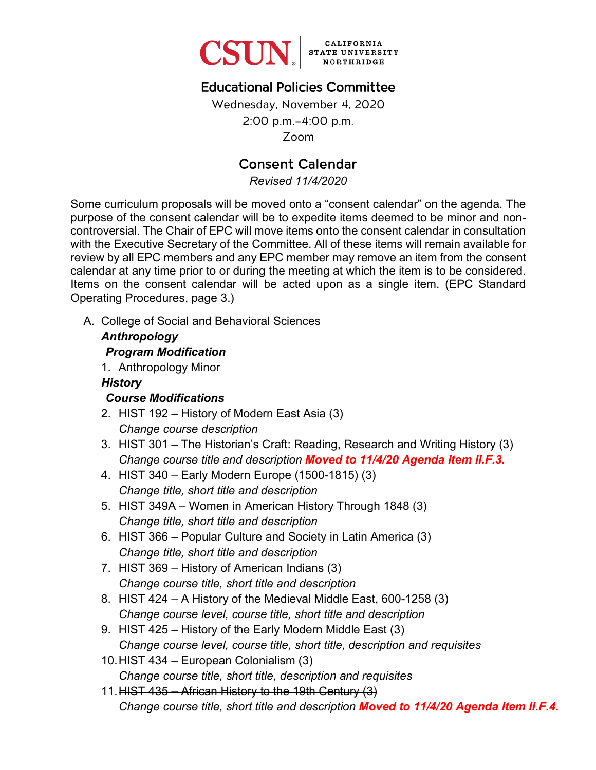

# Educational Policies Committee

Wednesday, November 4, 2020 2:00 p.m.–4:00 p.m. Zoom

## Consent Calendar

*Revised 11/4/2020* 

Some curriculum proposals will be moved onto a "consent calendar" on the agenda. The purpose of the consent calendar will be to expedite items deemed to be minor and noncontroversial. The Chair of EPC will move items onto the consent calendar in consultation with the Executive Secretary of the Committee. All of these items will remain available for review by all EPC members and any EPC member may remove an item from the consent calendar at any time prior to or during the meeting at which the item is to be considered. Items on the consent calendar will be acted upon as a single item. (EPC Standard Operating Procedures, page 3.)

A. College of Social and Behavioral Sciences

### *Anthropology Program Modification* 1. Anthropology Minor

#### *History*

### *Course Modifications*

- 2. HIST 192 History of Modern East Asia (3) *Change course description*
- 3. HIST 301 The Historian's Craft: Reading, Research and Writing History (3) *Change course title and description Moved to 11/4/20 Agenda Item II.F.3.*
- 4. HIST 340 Early Modern Europe (1500-1815) (3) *Change title, short title and description*
- 5. HIST 349A Women in American History Through 1848 (3) *Change title, short title and description*
- 6. HIST 366 Popular Culture and Society in Latin America (3) *Change title, short title and description*
- 7. HIST 369 History of American Indians (3) *Change course title, short title and description*
- 8. HIST 424 A History of the Medieval Middle East, 600-1258 (3) *Change course level, course title, short title and description*
- 9. HIST 425 History of the Early Modern Middle East (3) *Change course level, course title, short title, description and requisites*
- 10.HIST 434 European Colonialism (3) *Change course title, short title, description and requisites*
- 11.HIST 435 African History to the 19th Century (3) *Change course title, short title and description Moved to 11/4/20 Agenda Item II.F.4.*